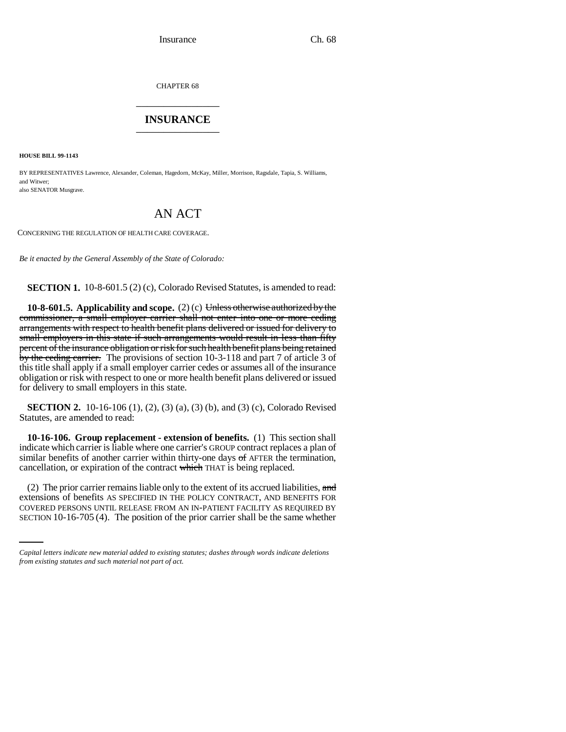CHAPTER 68 \_\_\_\_\_\_\_\_\_\_\_\_\_\_\_

## **INSURANCE** \_\_\_\_\_\_\_\_\_\_\_\_\_\_\_

**HOUSE BILL 99-1143** 

BY REPRESENTATIVES Lawrence, Alexander, Coleman, Hagedorn, McKay, Miller, Morrison, Ragsdale, Tapia, S. Williams, and Witwer; also SENATOR Musgrave.

# AN ACT

CONCERNING THE REGULATION OF HEALTH CARE COVERAGE.

*Be it enacted by the General Assembly of the State of Colorado:*

**SECTION 1.** 10-8-601.5 (2) (c), Colorado Revised Statutes, is amended to read:

**10-8-601.5. Applicability and scope.** (2) (c) Unless otherwise authorized by the commissioner, a small employer carrier shall not enter into one or more ceding arrangements with respect to health benefit plans delivered or issued for delivery to small employers in this state if such arrangements would result in less than fifty percent of the insurance obligation or risk for such health benefit plans being retained by the ceding carrier. The provisions of section 10-3-118 and part 7 of article 3 of this title shall apply if a small employer carrier cedes or assumes all of the insurance obligation or risk with respect to one or more health benefit plans delivered or issued for delivery to small employers in this state.

**SECTION 2.** 10-16-106 (1), (2), (3) (a), (3) (b), and (3) (c), Colorado Revised Statutes, are amended to read:

**10-16-106. Group replacement - extension of benefits.** (1) This section shall indicate which carrier is liable where one carrier's GROUP contract replaces a plan of similar benefits of another carrier within thirty-one days  $\sigma f$  AFTER the termination, cancellation, or expiration of the contract which THAT is being replaced.

extensions of benefits AS SPECIFIED IN THE POLICY CONTRACT, AND BENEFITS FOR (2) The prior carrier remains liable only to the extent of its accrued liabilities, and COVERED PERSONS UNTIL RELEASE FROM AN IN-PATIENT FACILITY AS REQUIRED BY SECTION 10-16-705 (4). The position of the prior carrier shall be the same whether

*Capital letters indicate new material added to existing statutes; dashes through words indicate deletions from existing statutes and such material not part of act.*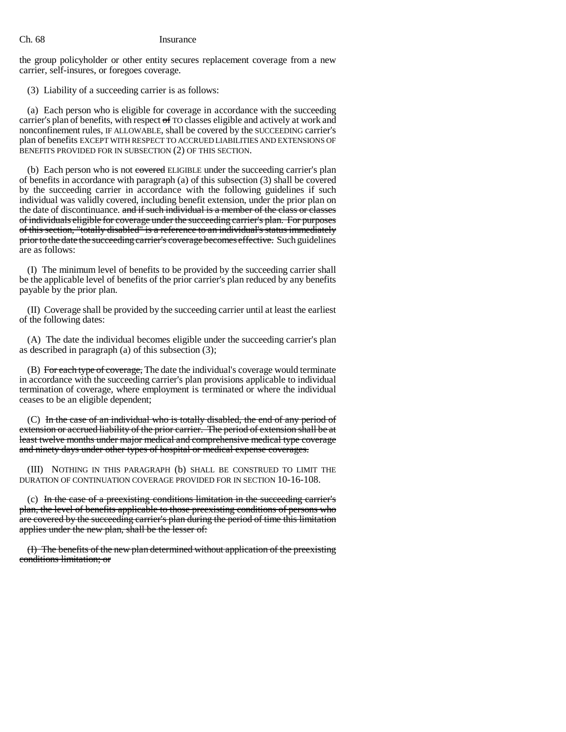### Ch. 68 Insurance

the group policyholder or other entity secures replacement coverage from a new carrier, self-insures, or foregoes coverage.

(3) Liability of a succeeding carrier is as follows:

(a) Each person who is eligible for coverage in accordance with the succeeding carrier's plan of benefits, with respect of TO classes eligible and actively at work and nonconfinement rules, IF ALLOWABLE, shall be covered by the SUCCEEDING carrier's plan of benefits EXCEPT WITH RESPECT TO ACCRUED LIABILITIES AND EXTENSIONS OF BENEFITS PROVIDED FOR IN SUBSECTION (2) OF THIS SECTION.

(b) Each person who is not covered ELIGIBLE under the succeeding carrier's plan of benefits in accordance with paragraph (a) of this subsection (3) shall be covered by the succeeding carrier in accordance with the following guidelines if such individual was validly covered, including benefit extension, under the prior plan on the date of discontinuance. and if such individual is a member of the class or classes of individuals eligible for coverage under the succeeding carrier's plan. For purposes of this section, "totally disabled" is a reference to an individual's status immediately prior to the date the succeeding carrier's coverage becomes effective. Such guidelines are as follows:

(I) The minimum level of benefits to be provided by the succeeding carrier shall be the applicable level of benefits of the prior carrier's plan reduced by any benefits payable by the prior plan.

(II) Coverage shall be provided by the succeeding carrier until at least the earliest of the following dates:

(A) The date the individual becomes eligible under the succeeding carrier's plan as described in paragraph (a) of this subsection (3);

(B) For each type of coverage, The date the individual's coverage would terminate in accordance with the succeeding carrier's plan provisions applicable to individual termination of coverage, where employment is terminated or where the individual ceases to be an eligible dependent;

(C) In the case of an individual who is totally disabled, the end of any period of extension or accrued liability of the prior carrier. The period of extension shall be at least twelve months under major medical and comprehensive medical type coverage and ninety days under other types of hospital or medical expense coverages.

(III) NOTHING IN THIS PARAGRAPH (b) SHALL BE CONSTRUED TO LIMIT THE DURATION OF CONTINUATION COVERAGE PROVIDED FOR IN SECTION 10-16-108.

(c) In the case of a preexisting conditions limitation in the succeeding carrier's plan, the level of benefits applicable to those preexisting conditions of persons who are covered by the succeeding carrier's plan during the period of time this limitation applies under the new plan, shall be the lesser of:

(I) The benefits of the new plan determined without application of the preexisting conditions limitation; or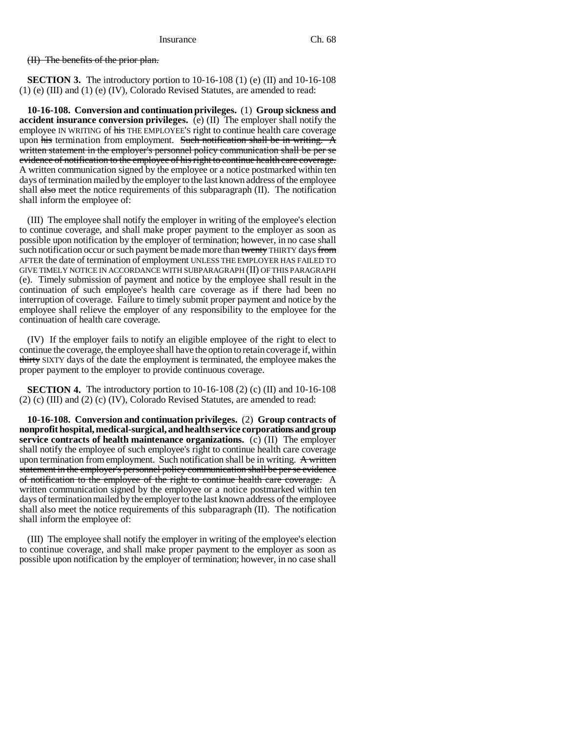(II) The benefits of the prior plan.

**SECTION 3.** The introductory portion to  $10-16-108$  (1) (e) (II) and  $10-16-108$ (1) (e) (III) and (1) (e) (IV), Colorado Revised Statutes, are amended to read:

**10-16-108. Conversion and continuation privileges.** (1) **Group sickness and accident insurance conversion privileges.** (e) (II) The employer shall notify the employee IN WRITING of his THE EMPLOYEE'S right to continue health care coverage upon his termination from employment. Such notification shall be in writing. A written statement in the employer's personnel policy communication shall be per se evidence of notification to the employee of his right to continue health care coverage. A written communication signed by the employee or a notice postmarked within ten days of termination mailed by the employer to the last known address of the employee shall also meet the notice requirements of this subparagraph  $(II)$ . The notification shall inform the employee of:

(III) The employee shall notify the employer in writing of the employee's election to continue coverage, and shall make proper payment to the employer as soon as possible upon notification by the employer of termination; however, in no case shall such notification occur or such payment be made more than twenty THIRTY days from AFTER the date of termination of employment UNLESS THE EMPLOYER HAS FAILED TO GIVE TIMELY NOTICE IN ACCORDANCE WITH SUBPARAGRAPH (II) OF THIS PARAGRAPH (e). Timely submission of payment and notice by the employee shall result in the continuation of such employee's health care coverage as if there had been no interruption of coverage. Failure to timely submit proper payment and notice by the employee shall relieve the employer of any responsibility to the employee for the continuation of health care coverage.

(IV) If the employer fails to notify an eligible employee of the right to elect to continue the coverage, the employee shall have the option to retain coverage if, within thirty SIXTY days of the date the employment is terminated, the employee makes the proper payment to the employer to provide continuous coverage.

**SECTION 4.** The introductory portion to 10-16-108 (2) (c) (II) and 10-16-108  $(2)$  (c) (III) and  $(2)$  (c) (IV), Colorado Revised Statutes, are amended to read:

**10-16-108. Conversion and continuation privileges.** (2) **Group contracts of nonprofit hospital, medical-surgical, and health service corporations and group service contracts of health maintenance organizations.** (c) (II) The employer shall notify the employee of such employee's right to continue health care coverage upon termination from employment. Such notification shall be in writing.  $A$  written statement in the employer's personnel policy communication shall be per se evidence of notification to the employee of the right to continue health care coverage. A written communication signed by the employee or a notice postmarked within ten days of termination mailed by the employer to the last known address of the employee shall also meet the notice requirements of this subparagraph (II). The notification shall inform the employee of:

(III) The employee shall notify the employer in writing of the employee's election to continue coverage, and shall make proper payment to the employer as soon as possible upon notification by the employer of termination; however, in no case shall